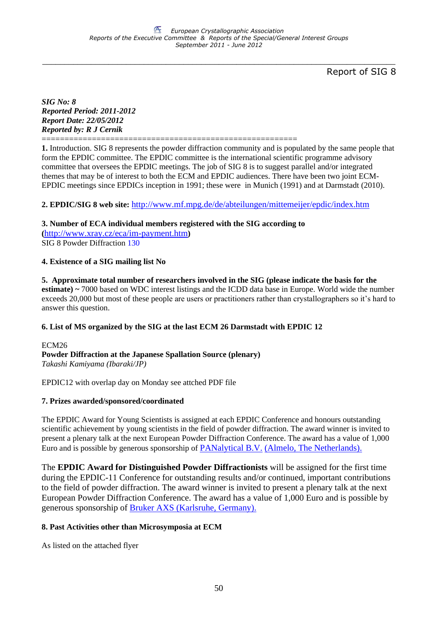\_\_\_\_\_\_\_\_\_\_\_\_\_\_\_\_\_\_\_\_\_\_\_\_\_\_\_\_\_\_\_\_\_\_\_\_\_\_\_\_\_\_\_\_\_\_\_\_\_\_\_\_\_\_\_\_\_\_\_\_\_\_\_\_\_\_\_\_\_\_\_\_\_\_\_\_\_\_\_\_

Report of SIG 8

*SIG No: 8 Reported Period: 2011-2012 Report Date: 22/05/2012 Reported by: R J Cernik*

========================================================

**1.** Introduction. SIG 8 represents the powder diffraction community and is populated by the same people that form the EPDIC committee. The EPDIC committee is the international scientific programme advisory committee that oversees the EPDIC meetings. The job of SIG 8 is to suggest parallel and/or integrated themes that may be of interest to both the ECM and EPDIC audiences. There have been two joint ECM-EPDIC meetings since EPDICs inception in 1991; these were in Munich (1991) and at Darmstadt (2010).

# **2. EPDIC/SIG 8 web site:** <http://www.mf.mpg.de/de/abteilungen/mittemeijer/epdic/index.htm>

**3. Number of ECA individual members registered with the SIG according to** 

**(**<http://www.xray.cz/eca/im-payment.htm>**)** SIG 8 Powder Diffraction 130

# **4. Existence of a SIG mailing list No**

**5. Approximate total number of researchers involved in the SIG (please indicate the basis for the estimate) ~** 7000 based on WDC interest listings and the ICDD data base in Europe. World wide the number exceeds 20,000 but most of these people are users or practitioners rather than crystallographers so it's hard to answer this question.

# **6. List of MS organized by the SIG at the last ECM 26 Darmstadt with EPDIC 12**

ECM<sub>26</sub> **Powder Diffraction at the Japanese Spallation Source (plenary)** *Takashi Kamiyama (Ibaraki/JP)*

EPDIC12 with overlap day on Monday see attched PDF file

# **7. Prizes awarded/sponsored/coordinated**

The EPDIC Award for Young Scientists is assigned at each EPDIC Conference and honours outstanding scientific achievement by young scientists in the field of powder diffraction. The award winner is invited to present a plenary talk at the next European Powder Diffraction Conference. The award has a value of 1,000 Euro and is possible by generous sponsorship of [PANalytical B.V.](http://www.panalytical.com/) [\(Almelo, The Netherlands\).](http://www.panalytical.com/)

The **EPDIC Award for Distinguished Powder Diffractionists** will be assigned for the first time during the EPDIC-11 Conference for outstanding results and/or continued, important contributions to the field of powder diffraction. The award winner is invited to present a plenary talk at the next European Powder Diffraction Conference. The award has a value of 1,000 Euro and is possible by generous sponsorship of [Bruker AXS \(Karlsruhe, Germany\).](http://www.bruker-axs.com/)

# **8. Past Activities other than Microsymposia at ECM**

As listed on the attached flyer